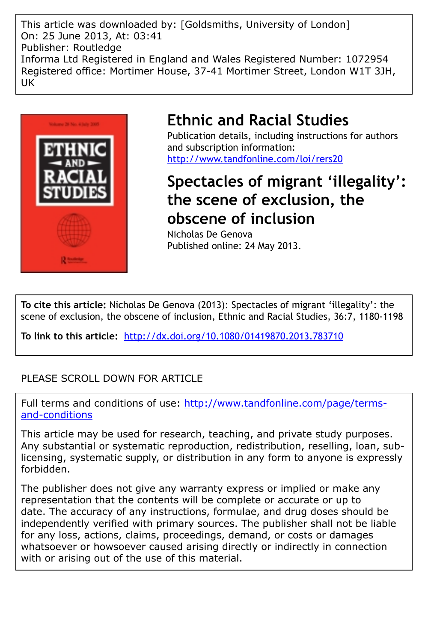This article was downloaded by: [Goldsmiths, University of London] On: 25 June 2013, At: 03:41 Publisher: Routledge Informa Ltd Registered in England and Wales Registered Number: 1072954 Registered office: Mortimer House, 37-41 Mortimer Street, London W1T 3JH, UK



# **Ethnic and Racial Studies**

Publication details, including instructions for authors and subscription information: <http://www.tandfonline.com/loi/rers20>

### **Spectacles of migrant 'illegality': the scene of exclusion, the obscene of inclusion**

Nicholas De Genova Published online: 24 May 2013.

**To cite this article:** Nicholas De Genova (2013): Spectacles of migrant 'illegality': the scene of exclusion, the obscene of inclusion, Ethnic and Racial Studies, 36:7, 1180-1198

**To link to this article:** <http://dx.doi.org/10.1080/01419870.2013.783710>

### PLEASE SCROLL DOWN FOR ARTICLE

Full terms and conditions of use: [http://www.tandfonline.com/page/terms](http://www.tandfonline.com/page/terms-and-conditions)[and-conditions](http://www.tandfonline.com/page/terms-and-conditions)

This article may be used for research, teaching, and private study purposes. Any substantial or systematic reproduction, redistribution, reselling, loan, sublicensing, systematic supply, or distribution in any form to anyone is expressly forbidden.

The publisher does not give any warranty express or implied or make any representation that the contents will be complete or accurate or up to date. The accuracy of any instructions, formulae, and drug doses should be independently verified with primary sources. The publisher shall not be liable for any loss, actions, claims, proceedings, demand, or costs or damages whatsoever or howsoever caused arising directly or indirectly in connection with or arising out of the use of this material.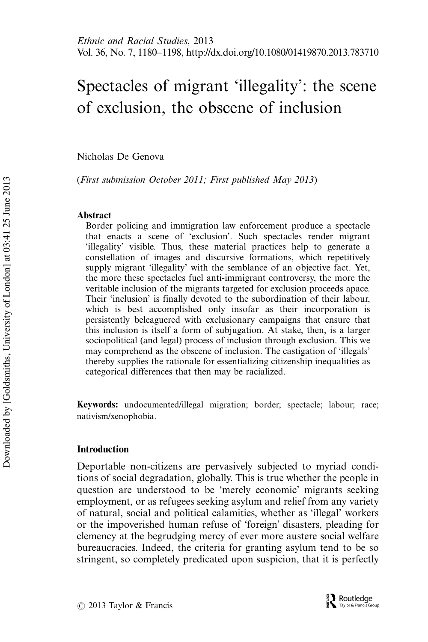## Spectacles of migrant 'illegality': the scene of exclusion, the obscene of inclusion

Nicholas De Genova

(First submission October 2011; First published May 2013)

#### Abstract

Border policing and immigration law enforcement produce a spectacle that enacts a scene of 'exclusion'. Such spectacles render migrant 'illegality' visible. Thus, these material practices help to generate a constellation of images and discursive formations, which repetitively supply migrant 'illegality' with the semblance of an objective fact. Yet, the more these spectacles fuel anti-immigrant controversy, the more the veritable inclusion of the migrants targeted for exclusion proceeds apace. Their 'inclusion' is finally devoted to the subordination of their labour, which is best accomplished only insofar as their incorporation is persistently beleaguered with exclusionary campaigns that ensure that this inclusion is itself a form of subjugation. At stake, then, is a larger sociopolitical (and legal) process of inclusion through exclusion. This we may comprehend as the obscene of inclusion. The castigation of 'illegals' thereby supplies the rationale for essentializing citizenship inequalities as categorical differences that then may be racialized.

Keywords: undocumented/illegal migration; border; spectacle; labour; race; nativism/xenophobia.

#### Introduction

Deportable non-citizens are pervasively subjected to myriad conditions of social degradation, globally. This is true whether the people in question are understood to be 'merely economic' migrants seeking employment, or as refugees seeking asylum and relief from any variety of natural, social and political calamities, whether as 'illegal' workers or the impoverished human refuse of 'foreign' disasters, pleading for clemency at the begrudging mercy of ever more austere social welfare bureaucracies. Indeed, the criteria for granting asylum tend to be so stringent, so completely predicated upon suspicion, that it is perfectly

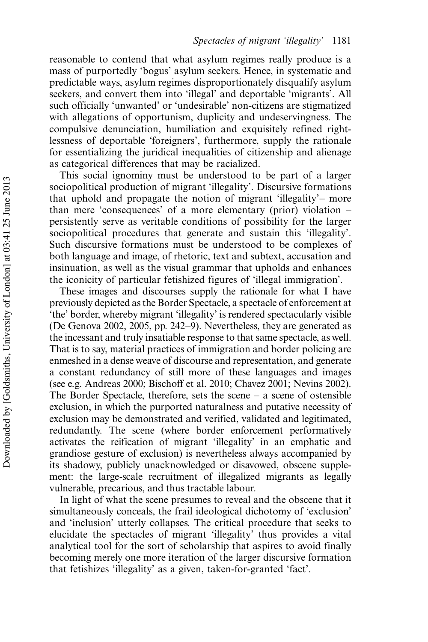reasonable to contend that what asylum regimes really produce is a mass of purportedly 'bogus' asylum seekers. Hence, in systematic and predictable ways, asylum regimes disproportionately disqualify asylum seekers, and convert them into 'illegal' and deportable 'migrants'. All such officially 'unwanted' or 'undesirable' non-citizens are stigmatized with allegations of opportunism, duplicity and undeservingness. The compulsive denunciation, humiliation and exquisitely refined rightlessness of deportable 'foreigners', furthermore, supply the rationale for essentializing the juridical inequalities of citizenship and alienage as categorical differences that may be racialized.

This social ignominy must be understood to be part of a larger sociopolitical production of migrant 'illegality'. Discursive formations that uphold and propagate the notion of migrant 'illegality' – more than mere 'consequences' of a more elementary (prior) violation  $$ persistently serve as veritable conditions of possibility for the larger sociopolitical procedures that generate and sustain this 'illegality'. Such discursive formations must be understood to be complexes of both language and image, of rhetoric, text and subtext, accusation and insinuation, as well as the visual grammar that upholds and enhances the iconicity of particular fetishized figures of 'illegal immigration'.

These images and discourses supply the rationale for what I have previously depicted as the Border Spectacle, a spectacle of enforcement at 'the' border, whereby migrant 'illegality' is rendered spectacularly visible (De Genova 2002, 2005, pp. 242–9). Nevertheless, they are generated as the incessant and truly insatiable response to that same spectacle, as well. That is to say, material practices of immigration and border policing are enmeshed in a dense weave of discourse and representation, and generate a constant redundancy of still more of these languages and images (see e.g. Andreas 2000; Bischoff et al. 2010; Chavez 2001; Nevins 2002). The Border Spectacle, therefore, sets the scene  $-$  a scene of ostensible exclusion, in which the purported naturalness and putative necessity of exclusion may be demonstrated and verified, validated and legitimated, redundantly. The scene (where border enforcement performatively activates the reification of migrant 'illegality' in an emphatic and grandiose gesture of exclusion) is nevertheless always accompanied by its shadowy, publicly unacknowledged or disavowed, obscene supplement: the large-scale recruitment of illegalized migrants as legally vulnerable, precarious, and thus tractable labour.

In light of what the scene presumes to reveal and the obscene that it simultaneously conceals, the frail ideological dichotomy of 'exclusion' and 'inclusion' utterly collapses. The critical procedure that seeks to elucidate the spectacles of migrant 'illegality' thus provides a vital analytical tool for the sort of scholarship that aspires to avoid finally becoming merely one more iteration of the larger discursive formation that fetishizes 'illegality' as a given, taken-for-granted 'fact'.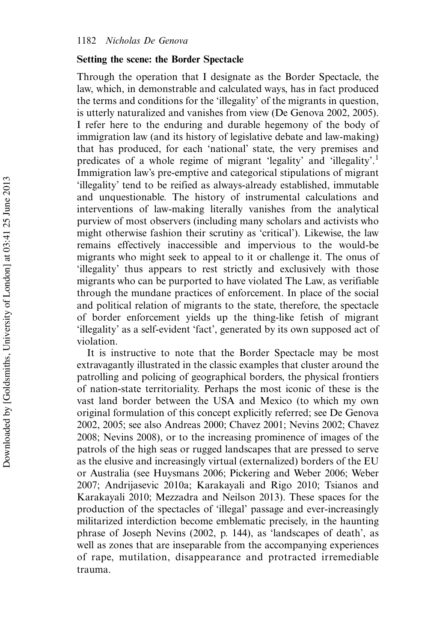#### Setting the scene: the Border Spectacle

Through the operation that I designate as the Border Spectacle, the law, which, in demonstrable and calculated ways, has in fact produced the terms and conditions for the 'illegality' of the migrants in question, is utterly naturalized and vanishes from view (De Genova 2002, 2005). I refer here to the enduring and durable hegemony of the body of immigration law (and its history of legislative debate and law-making) that has produced, for each 'national' state, the very premises and predicates of a whole regime of migrant 'legality' and 'illegality'.<sup>1</sup> Immigration law's pre-emptive and categorical stipulations of migrant 'illegality' tend to be reified as always-already established, immutable and unquestionable. The history of instrumental calculations and interventions of law-making literally vanishes from the analytical purview of most observers (including many scholars and activists who might otherwise fashion their scrutiny as 'critical'). Likewise, the law remains effectively inaccessible and impervious to the would-be migrants who might seek to appeal to it or challenge it. The onus of 'illegality' thus appears to rest strictly and exclusively with those migrants who can be purported to have violated The Law, as verifiable through the mundane practices of enforcement. In place of the social and political relation of migrants to the state, therefore, the spectacle of border enforcement yields up the thing-like fetish of migrant 'illegality' as a self-evident 'fact', generated by its own supposed act of violation.

It is instructive to note that the Border Spectacle may be most extravagantly illustrated in the classic examples that cluster around the patrolling and policing of geographical borders, the physical frontiers of nation-state territoriality. Perhaps the most iconic of these is the vast land border between the USA and Mexico (to which my own original formulation of this concept explicitly referred; see De Genova 2002, 2005; see also Andreas 2000; Chavez 2001; Nevins 2002; Chavez 2008; Nevins 2008), or to the increasing prominence of images of the patrols of the high seas or rugged landscapes that are pressed to serve as the elusive and increasingly virtual (externalized) borders of the EU or Australia (see Huysmans 2006; Pickering and Weber 2006; Weber 2007; Andrijasevic 2010a; Karakayali and Rigo 2010; Tsianos and Karakayali 2010; Mezzadra and Neilson 2013). These spaces for the production of the spectacles of 'illegal' passage and ever-increasingly militarized interdiction become emblematic precisely, in the haunting phrase of Joseph Nevins (2002, p. 144), as 'landscapes of death', as well as zones that are inseparable from the accompanying experiences of rape, mutilation, disappearance and protracted irremediable trauma.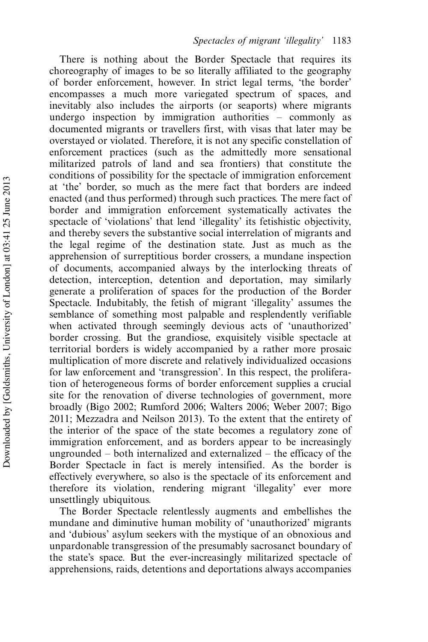There is nothing about the Border Spectacle that requires its choreography of images to be so literally affiliated to the geography of border enforcement, however. In strict legal terms, 'the border' encompasses a much more variegated spectrum of spaces, and inevitably also includes the airports (or seaports) where migrants undergo inspection by immigration authorities  $-$  commonly as documented migrants or travellers first, with visas that later may be overstayed or violated. Therefore, it is not any specific constellation of enforcement practices (such as the admittedly more sensational militarized patrols of land and sea frontiers) that constitute the conditions of possibility for the spectacle of immigration enforcement at 'the' border, so much as the mere fact that borders are indeed enacted (and thus performed) through such practices. The mere fact of border and immigration enforcement systematically activates the spectacle of 'violations' that lend 'illegality' its fetishistic objectivity, and thereby severs the substantive social interrelation of migrants and the legal regime of the destination state. Just as much as the apprehension of surreptitious border crossers, a mundane inspection of documents, accompanied always by the interlocking threats of detection, interception, detention and deportation, may similarly generate a proliferation of spaces for the production of the Border Spectacle. Indubitably, the fetish of migrant 'illegality' assumes the semblance of something most palpable and resplendently verifiable when activated through seemingly devious acts of 'unauthorized' border crossing. But the grandiose, exquisitely visible spectacle at territorial borders is widely accompanied by a rather more prosaic multiplication of more discrete and relatively individualized occasions for law enforcement and 'transgression'. In this respect, the proliferation of heterogeneous forms of border enforcement supplies a crucial site for the renovation of diverse technologies of government, more broadly (Bigo 2002; Rumford 2006; Walters 2006; Weber 2007; Bigo 2011; Mezzadra and Neilson 2013). To the extent that the entirety of the interior of the space of the state becomes a regulatory zone of immigration enforcement, and as borders appear to be increasingly ungrounded  $-$  both internalized and externalized  $-$  the efficacy of the Border Spectacle in fact is merely intensified. As the border is effectively everywhere, so also is the spectacle of its enforcement and therefore its violation, rendering migrant 'illegality' ever more unsettlingly ubiquitous.

The Border Spectacle relentlessly augments and embellishes the mundane and diminutive human mobility of 'unauthorized' migrants and 'dubious' asylum seekers with the mystique of an obnoxious and unpardonable transgression of the presumably sacrosanct boundary of the state's space. But the ever-increasingly militarized spectacle of apprehensions, raids, detentions and deportations always accompanies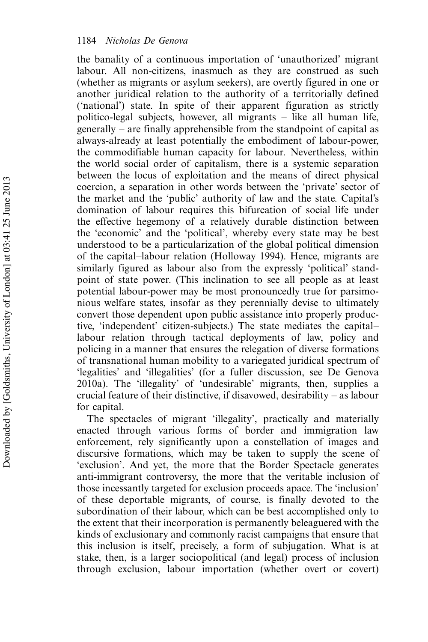the banality of a continuous importation of 'unauthorized' migrant labour. All non-citizens, inasmuch as they are construed as such (whether as migrants or asylum seekers), are overtly figured in one or another juridical relation to the authority of a territorially defined ('national') state. In spite of their apparent figuration as strictly politico-legal subjects, however, all migrants  $-$  like all human life,  $\frac{1}{2}$  generally – are finally apprehensible from the standpoint of capital as always-already at least potentially the embodiment of labour-power, the commodifiable human capacity for labour. Nevertheless, within the world social order of capitalism, there is a systemic separation between the locus of exploitation and the means of direct physical coercion, a separation in other words between the 'private' sector of the market and the 'public' authority of law and the state. Capital's domination of labour requires this bifurcation of social life under the effective hegemony of a relatively durable distinction between the 'economic' and the 'political', whereby every state may be best understood to be a particularization of the global political dimension of the capital-labour relation (Holloway 1994). Hence, migrants are similarly figured as labour also from the expressly 'political' standpoint of state power. (This inclination to see all people as at least potential labour-power may be most pronouncedly true for parsimonious welfare states, insofar as they perennially devise to ultimately convert those dependent upon public assistance into properly productive, 'independent' citizen-subjects.) The state mediates the capitallabour relation through tactical deployments of law, policy and policing in a manner that ensures the relegation of diverse formations of transnational human mobility to a variegated juridical spectrum of 'legalities' and 'illegalities' (for a fuller discussion, see De Genova 2010a). The 'illegality' of 'undesirable' migrants, then, supplies a crucial feature of their distinctive, if disavowed, desirability  $-$  as labour for capital.

The spectacles of migrant 'illegality', practically and materially enacted through various forms of border and immigration law enforcement, rely significantly upon a constellation of images and discursive formations, which may be taken to supply the scene of 'exclusion'. And yet, the more that the Border Spectacle generates anti-immigrant controversy, the more that the veritable inclusion of those incessantly targeted for exclusion proceeds apace. The 'inclusion' of these deportable migrants, of course, is finally devoted to the subordination of their labour, which can be best accomplished only to the extent that their incorporation is permanently beleaguered with the kinds of exclusionary and commonly racist campaigns that ensure that this inclusion is itself, precisely, a form of subjugation. What is at stake, then, is a larger sociopolitical (and legal) process of inclusion through exclusion, labour importation (whether overt or covert)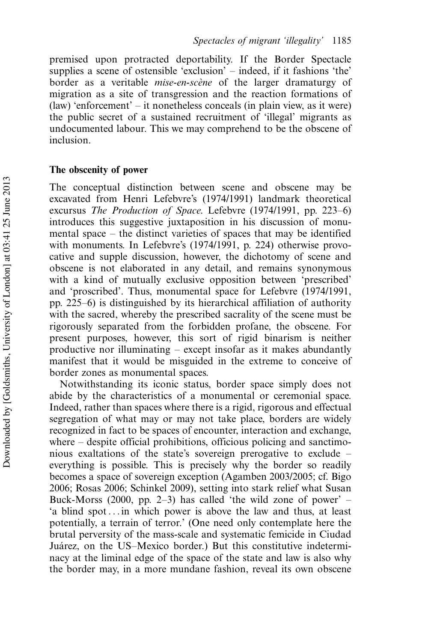premised upon protracted deportability. If the Border Spectacle supplies a scene of ostensible 'exclusion'  $-$  indeed, if it fashions 'the' border as a veritable *mise-en-scène* of the larger dramaturgy of migration as a site of transgression and the reaction formations of (law) 'enforcement'  $-$  it nonetheless conceals (in plain view, as it were) the public secret of a sustained recruitment of 'illegal' migrants as undocumented labour. This we may comprehend to be the obscene of inclusion.

#### The obscenity of power

The conceptual distinction between scene and obscene may be excavated from Henri Lefebvre's (1974/1991) landmark theoretical excursus The Production of Space. Lefebvre  $(1974/1991,$  pp. 223-6) introduces this suggestive juxtaposition in his discussion of monumental space  $-$  the distinct varieties of spaces that may be identified with monuments. In Lefebvre's (1974/1991, p. 224) otherwise provocative and supple discussion, however, the dichotomy of scene and obscene is not elaborated in any detail, and remains synonymous with a kind of mutually exclusive opposition between 'prescribed' and 'proscribed'. Thus, monumental space for Lefebvre (1974/1991, pp.  $225-6$ ) is distinguished by its hierarchical affiliation of authority with the sacred, whereby the prescribed sacrality of the scene must be rigorously separated from the forbidden profane, the obscene. For present purposes, however, this sort of rigid binarism is neither productive nor illuminating  $-$  except insofar as it makes abundantly manifest that it would be misguided in the extreme to conceive of border zones as monumental spaces.

Notwithstanding its iconic status, border space simply does not abide by the characteristics of a monumental or ceremonial space. Indeed, rather than spaces where there is a rigid, rigorous and effectual segregation of what may or may not take place, borders are widely recognized in fact to be spaces of encounter, interaction and exchange, where  $-$  despite official prohibitions, officious policing and sanctimonious exaltations of the state's sovereign prerogative to exclude  $$ everything is possible. This is precisely why the border so readily becomes a space of sovereign exception (Agamben 2003/2005; cf. Bigo 2006; Rosas 2006; Schinkel 2009), setting into stark relief what Susan Buck-Morss (2000, pp. 2–3) has called 'the wild zone of power'  $-$ 'a blind spot ... in which power is above the law and thus, at least potentially, a terrain of terror.' (One need only contemplate here the brutal perversity of the mass-scale and systematic femicide in Ciudad Juárez, on the US-Mexico border.) But this constitutive indeterminacy at the liminal edge of the space of the state and law is also why the border may, in a more mundane fashion, reveal its own obscene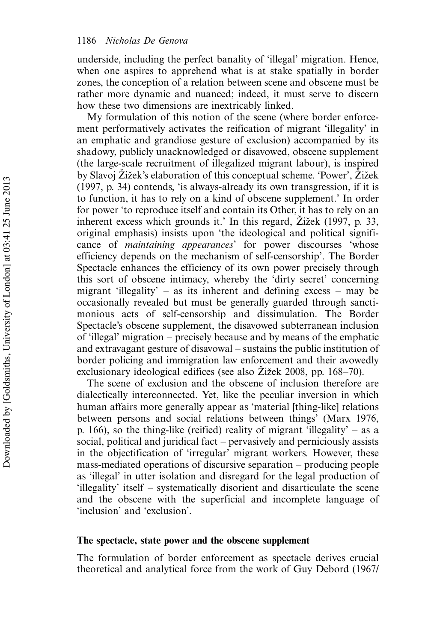underside, including the perfect banality of 'illegal' migration. Hence, when one aspires to apprehend what is at stake spatially in border zones, the conception of a relation between scene and obscene must be rather more dynamic and nuanced; indeed, it must serve to discern how these two dimensions are inextricably linked.

My formulation of this notion of the scene (where border enforcement performatively activates the reification of migrant 'illegality' in an emphatic and grandiose gesture of exclusion) accompanied by its shadowy, publicly unacknowledged or disavowed, obscene supplement (the large-scale recruitment of illegalized migrant labour), is inspired by Slavoj Žižek's elaboration of this conceptual scheme. 'Power', Žižek (1997, p. 34) contends, 'is always-already its own transgression, if it is to function, it has to rely on a kind of obscene supplement.' In order for power 'to reproduce itself and contain its Other, it has to rely on an inherent excess which grounds it.' In this regard, Žižek (1997, p. 33, original emphasis) insists upon 'the ideological and political significance of maintaining appearances' for power discourses 'whose efficiency depends on the mechanism of self-censorship'. The Border Spectacle enhances the efficiency of its own power precisely through this sort of obscene intimacy, whereby the 'dirty secret' concerning migrant 'illegality'  $-$  as its inherent and defining excess  $-$  may be occasionally revealed but must be generally guarded through sanctimonious acts of self-censorship and dissimulation. The Border Spectacle's obscene supplement, the disavowed subterranean inclusion of 'illegal' migration ! precisely because and by means of the emphatic and extravagant gesture of disavowal – sustains the public institution of border policing and immigration law enforcement and their avowedly exclusionary ideological edifices (see also Žižek 2008, pp. 168–70).

The scene of exclusion and the obscene of inclusion therefore are dialectically interconnected. Yet, like the peculiar inversion in which human affairs more generally appear as 'material [thing-like] relations between persons and social relations between things' (Marx 1976, p. 166), so the thing-like (reified) reality of migrant 'illegality'  $-$  as a social, political and juridical fact ! pervasively and perniciously assists in the objectification of 'irregular' migrant workers. However, these mass-mediated operations of discursive separation  $-$  producing people as 'illegal' in utter isolation and disregard for the legal production of 'illegality' itself ! systematically disorient and disarticulate the scene and the obscene with the superficial and incomplete language of 'inclusion' and 'exclusion'.

#### The spectacle, state power and the obscene supplement

The formulation of border enforcement as spectacle derives crucial theoretical and analytical force from the work of Guy Debord (1967/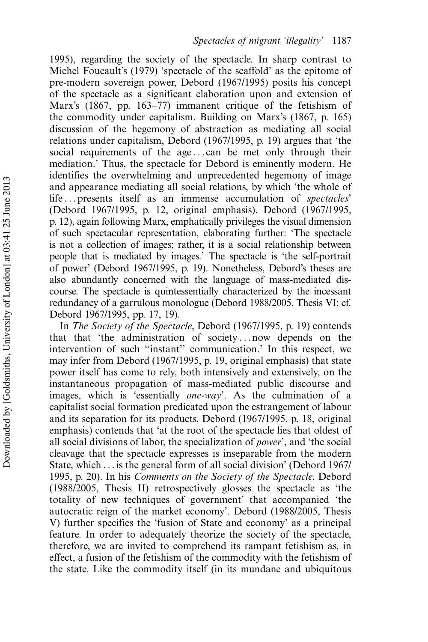1995), regarding the society of the spectacle. In sharp contrast to Michel Foucault's (1979) 'spectacle of the scaffold' as the epitome of pre-modern sovereign power, Debord (1967/1995) posits his concept of the spectacle as a significant elaboration upon and extension of Marx's (1867, pp. 163–77) immanent critique of the fetishism of the commodity under capitalism. Building on Marx's (1867, p. 165) discussion of the hegemony of abstraction as mediating all social relations under capitalism, Debord (1967/1995, p. 19) argues that 'the social requirements of the age ... can be met only through their mediation.' Thus, the spectacle for Debord is eminently modern. He identifies the overwhelming and unprecedented hegemony of image and appearance mediating all social relations, by which 'the whole of life ...presents itself as an immense accumulation of spectacles' (Debord 1967/1995, p. 12, original emphasis). Debord (1967/1995, p. 12), again following Marx, emphatically privileges the visual dimension of such spectacular representation, elaborating further: 'The spectacle is not a collection of images; rather, it is a social relationship between people that is mediated by images.' The spectacle is 'the self-portrait of power' (Debord 1967/1995, p. 19). Nonetheless, Debord's theses are also abundantly concerned with the language of mass-mediated discourse. The spectacle is quintessentially characterized by the incessant redundancy of a garrulous monologue (Debord 1988/2005, Thesis VI; cf. Debord 1967/1995, pp. 17, 19).

In The Society of the Spectacle, Debord (1967/1995, p. 19) contends that that 'the administration of society ...now depends on the intervention of such ''instant'' communication.' In this respect, we may infer from Debord (1967/1995, p. 19, original emphasis) that state power itself has come to rely, both intensively and extensively, on the instantaneous propagation of mass-mediated public discourse and images, which is 'essentially *one-way*'. As the culmination of a capitalist social formation predicated upon the estrangement of labour and its separation for its products, Debord (1967/1995, p. 18, original emphasis) contends that 'at the root of the spectacle lies that oldest of all social divisions of labor, the specialization of power', and 'the social cleavage that the spectacle expresses is inseparable from the modern State, which ... is the general form of all social division' (Debord 1967/ 1995, p. 20). In his Comments on the Society of the Spectacle, Debord (1988/2005, Thesis II) retrospectively glosses the spectacle as 'the totality of new techniques of government' that accompanied 'the autocratic reign of the market economy'. Debord (1988/2005, Thesis V) further specifies the 'fusion of State and economy' as a principal feature. In order to adequately theorize the society of the spectacle, therefore, we are invited to comprehend its rampant fetishism as, in effect, a fusion of the fetishism of the commodity with the fetishism of the state. Like the commodity itself (in its mundane and ubiquitous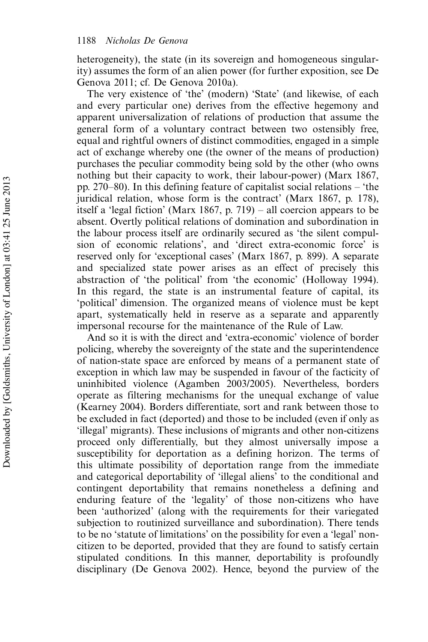heterogeneity), the state (in its sovereign and homogeneous singularity) assumes the form of an alien power (for further exposition, see De Genova 2011; cf. De Genova 2010a).

The very existence of 'the' (modern) 'State' (and likewise, of each and every particular one) derives from the effective hegemony and apparent universalization of relations of production that assume the general form of a voluntary contract between two ostensibly free, equal and rightful owners of distinct commodities, engaged in a simple act of exchange whereby one (the owner of the means of production) purchases the peculiar commodity being sold by the other (who owns nothing but their capacity to work, their labour-power) (Marx 1867, pp.  $270-80$ ). In this defining feature of capitalist social relations  $-$  'the juridical relation, whose form is the contract' (Marx 1867, p. 178), itself a 'legal fiction' (Marx 1867, p. 719) – all coercion appears to be absent. Overtly political relations of domination and subordination in the labour process itself are ordinarily secured as 'the silent compulsion of economic relations', and 'direct extra-economic force' is reserved only for 'exceptional cases' (Marx 1867, p. 899). A separate and specialized state power arises as an effect of precisely this abstraction of 'the political' from 'the economic' (Holloway 1994). In this regard, the state is an instrumental feature of capital, its 'political' dimension. The organized means of violence must be kept apart, systematically held in reserve as a separate and apparently impersonal recourse for the maintenance of the Rule of Law.

And so it is with the direct and 'extra-economic' violence of border policing, whereby the sovereignty of the state and the superintendence of nation-state space are enforced by means of a permanent state of exception in which law may be suspended in favour of the facticity of uninhibited violence (Agamben 2003/2005). Nevertheless, borders operate as filtering mechanisms for the unequal exchange of value (Kearney 2004). Borders differentiate, sort and rank between those to be excluded in fact (deported) and those to be included (even if only as 'illegal' migrants). These inclusions of migrants and other non-citizens proceed only differentially, but they almost universally impose a susceptibility for deportation as a defining horizon. The terms of this ultimate possibility of deportation range from the immediate and categorical deportability of 'illegal aliens' to the conditional and contingent deportability that remains nonetheless a defining and enduring feature of the 'legality' of those non-citizens who have been 'authorized' (along with the requirements for their variegated subjection to routinized surveillance and subordination). There tends to be no 'statute of limitations' on the possibility for even a 'legal' noncitizen to be deported, provided that they are found to satisfy certain stipulated conditions. In this manner, deportability is profoundly disciplinary (De Genova 2002). Hence, beyond the purview of the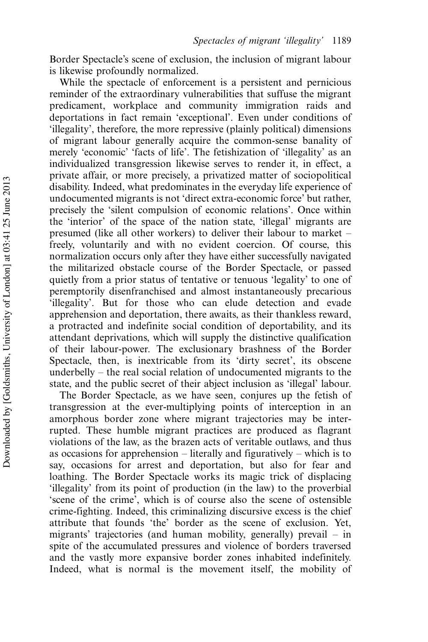Border Spectacle's scene of exclusion, the inclusion of migrant labour is likewise profoundly normalized.

While the spectacle of enforcement is a persistent and pernicious reminder of the extraordinary vulnerabilities that suffuse the migrant predicament, workplace and community immigration raids and deportations in fact remain 'exceptional'. Even under conditions of 'illegality', therefore, the more repressive (plainly political) dimensions of migrant labour generally acquire the common-sense banality of merely 'economic' 'facts of life'. The fetishization of 'illegality' as an individualized transgression likewise serves to render it, in effect, a private affair, or more precisely, a privatized matter of sociopolitical disability. Indeed, what predominates in the everyday life experience of undocumented migrants is not 'direct extra-economic force' but rather, precisely the 'silent compulsion of economic relations'. Once within the 'interior' of the space of the nation state, 'illegal' migrants are presumed (like all other workers) to deliver their labour to market  $$ freely, voluntarily and with no evident coercion. Of course, this normalization occurs only after they have either successfully navigated the militarized obstacle course of the Border Spectacle, or passed quietly from a prior status of tentative or tenuous 'legality' to one of peremptorily disenfranchised and almost instantaneously precarious 'illegality'. But for those who can elude detection and evade apprehension and deportation, there awaits, as their thankless reward, a protracted and indefinite social condition of deportability, and its attendant deprivations, which will supply the distinctive qualification of their labour-power. The exclusionary brashness of the Border Spectacle, then, is inextricable from its 'dirty secret', its obscene underbelly  $-$  the real social relation of undocumented migrants to the state, and the public secret of their abject inclusion as 'illegal' labour.

The Border Spectacle, as we have seen, conjures up the fetish of transgression at the ever-multiplying points of interception in an amorphous border zone where migrant trajectories may be interrupted. These humble migrant practices are produced as flagrant violations of the law, as the brazen acts of veritable outlaws, and thus as occasions for apprehension  $-$  literally and figuratively  $-$  which is to say, occasions for arrest and deportation, but also for fear and loathing. The Border Spectacle works its magic trick of displacing 'illegality' from its point of production (in the law) to the proverbial 'scene of the crime', which is of course also the scene of ostensible crime-fighting. Indeed, this criminalizing discursive excess is the chief attribute that founds 'the' border as the scene of exclusion. Yet, migrants' trajectories (and human mobility, generally) prevail  $-$  in spite of the accumulated pressures and violence of borders traversed and the vastly more expansive border zones inhabited indefinitely. Indeed, what is normal is the movement itself, the mobility of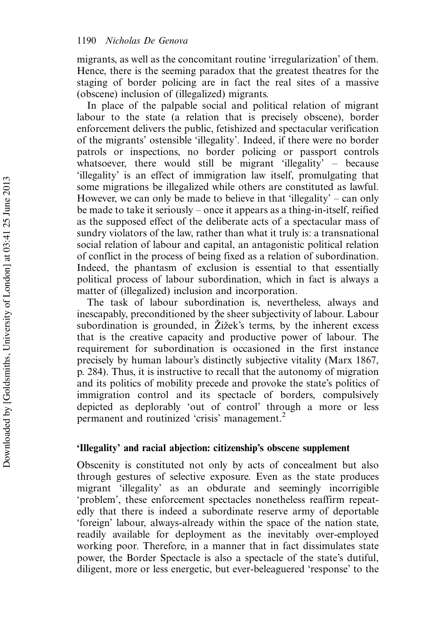migrants, as well as the concomitant routine 'irregularization' of them. Hence, there is the seeming paradox that the greatest theatres for the staging of border policing are in fact the real sites of a massive (obscene) inclusion of (illegalized) migrants.

In place of the palpable social and political relation of migrant labour to the state (a relation that is precisely obscene), border enforcement delivers the public, fetishized and spectacular verification of the migrants' ostensible 'illegality'. Indeed, if there were no border patrols or inspections, no border policing or passport controls whatsoever, there would still be migrant 'illegality'  $-$  because 'illegality' is an effect of immigration law itself, promulgating that some migrations be illegalized while others are constituted as lawful. However, we can only be made to believe in that 'illegality'  $-$  can only be made to take it seriously – once it appears as a thing-in-itself, reified as the supposed effect of the deliberate acts of a spectacular mass of sundry violators of the law, rather than what it truly is: a transnational social relation of labour and capital, an antagonistic political relation of conflict in the process of being fixed as a relation of subordination. Indeed, the phantasm of exclusion is essential to that essentially political process of labour subordination, which in fact is always a matter of (illegalized) inclusion and incorporation.

The task of labour subordination is, nevertheless, always and inescapably, preconditioned by the sheer subjectivity of labour. Labour subordination is grounded, in Žižek's terms, by the inherent excess that is the creative capacity and productive power of labour. The requirement for subordination is occasioned in the first instance precisely by human labour's distinctly subjective vitality (Marx 1867, p. 284). Thus, it is instructive to recall that the autonomy of migration and its politics of mobility precede and provoke the state's politics of immigration control and its spectacle of borders, compulsively depicted as deplorably 'out of control' through a more or less permanent and routinized 'crisis' management.<sup>2</sup>

### 'Illegality' and racial abjection: citizenship's obscene supplement

Obscenity is constituted not only by acts of concealment but also through gestures of selective exposure. Even as the state produces migrant 'illegality' as an obdurate and seemingly incorrigible 'problem', these enforcement spectacles nonetheless reaffirm repeatedly that there is indeed a subordinate reserve army of deportable 'foreign' labour, always-already within the space of the nation state, readily available for deployment as the inevitably over-employed working poor. Therefore, in a manner that in fact dissimulates state power, the Border Spectacle is also a spectacle of the state's dutiful, diligent, more or less energetic, but ever-beleaguered 'response' to the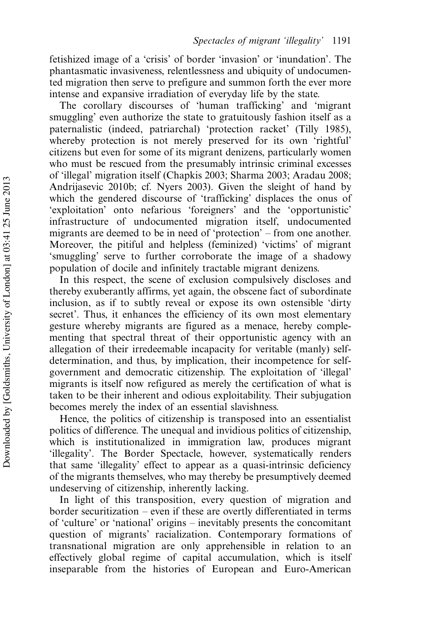fetishized image of a 'crisis' of border 'invasion' or 'inundation'. The phantasmatic invasiveness, relentlessness and ubiquity of undocumented migration then serve to prefigure and summon forth the ever more intense and expansive irradiation of everyday life by the state.

The corollary discourses of 'human trafficking' and 'migrant smuggling' even authorize the state to gratuitously fashion itself as a paternalistic (indeed, patriarchal) 'protection racket' (Tilly 1985), whereby protection is not merely preserved for its own 'rightful' citizens but even for some of its migrant denizens, particularly women who must be rescued from the presumably intrinsic criminal excesses of 'illegal' migration itself (Chapkis 2003; Sharma 2003; Aradau 2008; Andrijasevic 2010b; cf. Nyers 2003). Given the sleight of hand by which the gendered discourse of 'trafficking' displaces the onus of 'exploitation' onto nefarious 'foreigners' and the 'opportunistic' infrastructure of undocumented migration itself, undocumented migrants are deemed to be in need of 'protection'  $-$  from one another. Moreover, the pitiful and helpless (feminized) 'victims' of migrant 'smuggling' serve to further corroborate the image of a shadowy population of docile and infinitely tractable migrant denizens.

In this respect, the scene of exclusion compulsively discloses and thereby exuberantly affirms, yet again, the obscene fact of subordinate inclusion, as if to subtly reveal or expose its own ostensible 'dirty secret'. Thus, it enhances the efficiency of its own most elementary gesture whereby migrants are figured as a menace, hereby complementing that spectral threat of their opportunistic agency with an allegation of their irredeemable incapacity for veritable (manly) selfdetermination, and thus, by implication, their incompetence for selfgovernment and democratic citizenship. The exploitation of 'illegal' migrants is itself now refigured as merely the certification of what is taken to be their inherent and odious exploitability. Their subjugation becomes merely the index of an essential slavishness.

Hence, the politics of citizenship is transposed into an essentialist politics of difference. The unequal and invidious politics of citizenship, which is institutionalized in immigration law, produces migrant 'illegality'. The Border Spectacle, however, systematically renders that same 'illegality' effect to appear as a quasi-intrinsic deficiency of the migrants themselves, who may thereby be presumptively deemed undeserving of citizenship, inherently lacking.

In light of this transposition, every question of migration and  $border$  securitization  $-$  even if these are overtly differentiated in terms of 'culture' or 'national' origins – inevitably presents the concomitant question of migrants' racialization. Contemporary formations of transnational migration are only apprehensible in relation to an effectively global regime of capital accumulation, which is itself inseparable from the histories of European and Euro-American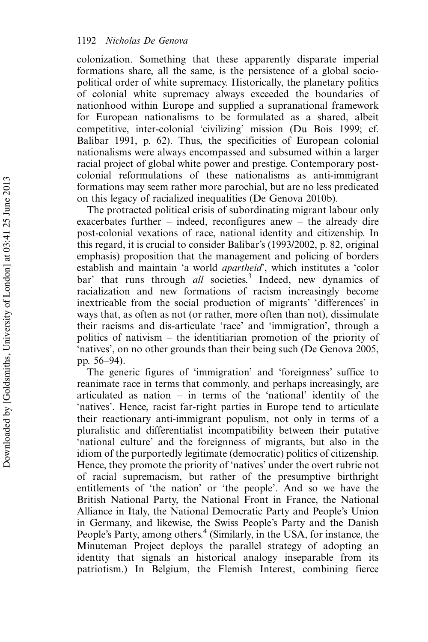colonization. Something that these apparently disparate imperial formations share, all the same, is the persistence of a global sociopolitical order of white supremacy. Historically, the planetary politics of colonial white supremacy always exceeded the boundaries of nationhood within Europe and supplied a supranational framework for European nationalisms to be formulated as a shared, albeit competitive, inter-colonial 'civilizing' mission (Du Bois 1999; cf. Balibar 1991, p. 62). Thus, the specificities of European colonial nationalisms were always encompassed and subsumed within a larger racial project of global white power and prestige. Contemporary postcolonial reformulations of these nationalisms as anti-immigrant formations may seem rather more parochial, but are no less predicated on this legacy of racialized inequalities (De Genova 2010b).

The protracted political crisis of subordinating migrant labour only exacerbates further  $-$  indeed, reconfigures anew  $-$  the already dire post-colonial vexations of race, national identity and citizenship. In this regard, it is crucial to consider Balibar's (1993/2002, p. 82, original emphasis) proposition that the management and policing of borders establish and maintain 'a world apartheid', which institutes a 'color bar' that runs through all societies.<sup>3</sup> Indeed, new dynamics of racialization and new formations of racism increasingly become inextricable from the social production of migrants' 'differences' in ways that, as often as not (or rather, more often than not), dissimulate their racisms and dis-articulate 'race' and 'immigration', through a politics of nativism ! the identitiarian promotion of the priority of 'natives', on no other grounds than their being such (De Genova 2005, pp. 56-94).

The generic figures of 'immigration' and 'foreignness' suffice to reanimate race in terms that commonly, and perhaps increasingly, are articulated as nation  $-$  in terms of the 'national' identity of the 'natives'. Hence, racist far-right parties in Europe tend to articulate their reactionary anti-immigrant populism, not only in terms of a pluralistic and differentialist incompatibility between their putative 'national culture' and the foreignness of migrants, but also in the idiom of the purportedly legitimate (democratic) politics of citizenship. Hence, they promote the priority of 'natives' under the overt rubric not of racial supremacism, but rather of the presumptive birthright entitlements of 'the nation' or 'the people'. And so we have the British National Party, the National Front in France, the National Alliance in Italy, the National Democratic Party and People's Union in Germany, and likewise, the Swiss People's Party and the Danish People's Party, among others.<sup>4</sup> (Similarly, in the USA, for instance, the Minuteman Project deploys the parallel strategy of adopting an identity that signals an historical analogy inseparable from its patriotism.) In Belgium, the Flemish Interest, combining fierce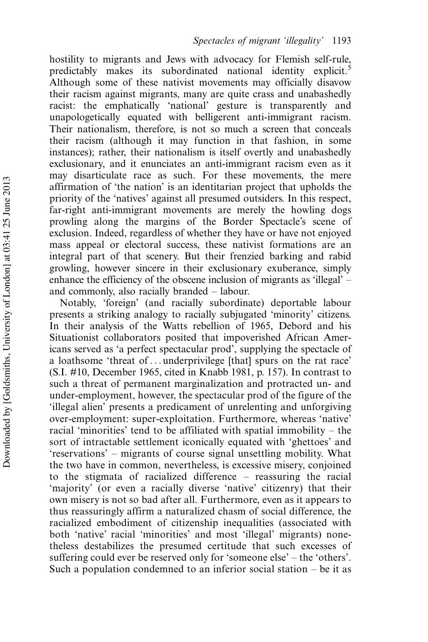hostility to migrants and Jews with advocacy for Flemish self-rule, predictably makes its subordinated national identity explicit.<sup>5</sup> Although some of these nativist movements may officially disavow their racism against migrants, many are quite crass and unabashedly racist: the emphatically 'national' gesture is transparently and unapologetically equated with belligerent anti-immigrant racism. Their nationalism, therefore, is not so much a screen that conceals their racism (although it may function in that fashion, in some instances); rather, their nationalism is itself overtly and unabashedly exclusionary, and it enunciates an anti-immigrant racism even as it may disarticulate race as such. For these movements, the mere affirmation of 'the nation' is an identitarian project that upholds the priority of the 'natives' against all presumed outsiders. In this respect, far-right anti-immigrant movements are merely the howling dogs prowling along the margins of the Border Spectacle's scene of exclusion. Indeed, regardless of whether they have or have not enjoyed mass appeal or electoral success, these nativist formations are an integral part of that scenery. But their frenzied barking and rabid growling, however sincere in their exclusionary exuberance, simply enhance the efficiency of the obscene inclusion of migrants as 'illegal' and commonly, also racially branded  $-$  labour.

Notably, 'foreign' (and racially subordinate) deportable labour presents a striking analogy to racially subjugated 'minority' citizens. In their analysis of the Watts rebellion of 1965, Debord and his Situationist collaborators posited that impoverished African Americans served as 'a perfect spectacular prod', supplying the spectacle of a loathsome 'threat of ...underprivilege [that] spurs on the rat race' (S.I. #10, December 1965, cited in Knabb 1981, p. 157). In contrast to such a threat of permanent marginalization and protracted un- and under-employment, however, the spectacular prod of the figure of the 'illegal alien' presents a predicament of unrelenting and unforgiving over-employment: super-exploitation. Furthermore, whereas 'native' racial 'minorities' tend to be affiliated with spatial immobility  $-$  the sort of intractable settlement iconically equated with 'ghettoes' and 'reservations' ! migrants of course signal unsettling mobility. What the two have in common, nevertheless, is excessive misery, conjoined to the stigmata of racialized difference  $-$  reassuring the racial 'majority' (or even a racially diverse 'native' citizenry) that their own misery is not so bad after all. Furthermore, even as it appears to thus reassuringly affirm a naturalized chasm of social difference, the racialized embodiment of citizenship inequalities (associated with both 'native' racial 'minorities' and most 'illegal' migrants) nonetheless destabilizes the presumed certitude that such excesses of suffering could ever be reserved only for 'someone else'  $-$  the 'others'. Such a population condemned to an inferior social station  $-$  be it as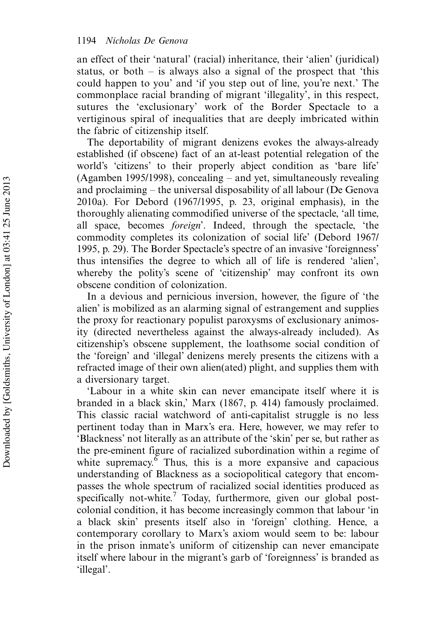an effect of their 'natural' (racial) inheritance, their 'alien' (juridical) status, or both  $-$  is always also a signal of the prospect that 'this could happen to you' and 'if you step out of line, you're next.' The commonplace racial branding of migrant 'illegality', in this respect, sutures the 'exclusionary' work of the Border Spectacle to a vertiginous spiral of inequalities that are deeply imbricated within the fabric of citizenship itself.

The deportability of migrant denizens evokes the always-already established (if obscene) fact of an at-least potential relegation of the world's 'citizens' to their properly abject condition as 'bare life' (Agamben 1995/1998), concealing  $-$  and yet, simultaneously revealing and proclaiming  $-$  the universal disposability of all labour (De Genova 2010a). For Debord (1967/1995, p. 23, original emphasis), in the thoroughly alienating commodified universe of the spectacle, 'all time, all space, becomes foreign'. Indeed, through the spectacle, 'the commodity completes its colonization of social life' (Debord 1967/ 1995, p. 29). The Border Spectacle's spectre of an invasive 'foreignness' thus intensifies the degree to which all of life is rendered 'alien', whereby the polity's scene of 'citizenship' may confront its own obscene condition of colonization.

In a devious and pernicious inversion, however, the figure of 'the alien' is mobilized as an alarming signal of estrangement and supplies the proxy for reactionary populist paroxysms of exclusionary animosity (directed nevertheless against the always-already included). As citizenship's obscene supplement, the loathsome social condition of the 'foreign' and 'illegal' denizens merely presents the citizens with a refracted image of their own alien(ated) plight, and supplies them with a diversionary target.

'Labour in a white skin can never emancipate itself where it is branded in a black skin,' Marx (1867, p. 414) famously proclaimed. This classic racial watchword of anti-capitalist struggle is no less pertinent today than in Marx's era. Here, however, we may refer to 'Blackness' not literally as an attribute of the 'skin' per se, but rather as the pre-eminent figure of racialized subordination within a regime of white supremacy.<sup>6</sup> Thus, this is a more expansive and capacious understanding of Blackness as a sociopolitical category that encompasses the whole spectrum of racialized social identities produced as specifically not-white.<sup>7</sup> Today, furthermore, given our global postcolonial condition, it has become increasingly common that labour 'in a black skin' presents itself also in 'foreign' clothing. Hence, a contemporary corollary to Marx's axiom would seem to be: labour in the prison inmate's uniform of citizenship can never emancipate itself where labour in the migrant's garb of 'foreignness' is branded as 'illegal'.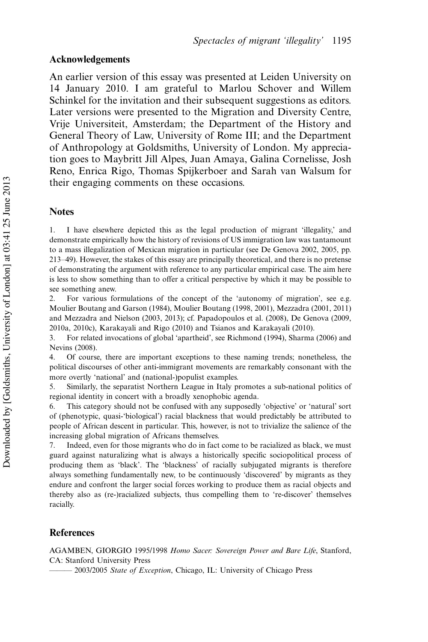#### Acknowledgements

An earlier version of this essay was presented at Leiden University on 14 January 2010. I am grateful to Marlou Schover and Willem Schinkel for the invitation and their subsequent suggestions as editors. Later versions were presented to the Migration and Diversity Centre, Vrije Universiteit, Amsterdam; the Department of the History and General Theory of Law, University of Rome III; and the Department of Anthropology at Goldsmiths, University of London. My appreciation goes to Maybritt Jill Alpes, Juan Amaya, Galina Cornelisse, Josh Reno, Enrica Rigo, Thomas Spijkerboer and Sarah van Walsum for their engaging comments on these occasions.

#### Notes

1. I have elsewhere depicted this as the legal production of migrant 'illegality,' and demonstrate empirically how the history of revisions of US immigration law was tantamount to a mass illegalization of Mexican migration in particular (see De Genova 2002, 2005, pp. 213-49). However, the stakes of this essay are principally theoretical, and there is no pretense of demonstrating the argument with reference to any particular empirical case. The aim here is less to show something than to offer a critical perspective by which it may be possible to see something anew.

2. For various formulations of the concept of the 'autonomy of migration', see e.g. Moulier Boutang and Garson (1984), Moulier Boutang (1998, 2001), Mezzadra (2001, 2011) and Mezzadra and Nielson (2003, 2013); cf. Papadopoulos et al. (2008), De Genova (2009, 2010a, 2010c), Karakayali and Rigo (2010) and Tsianos and Karakayali (2010).

3. For related invocations of global 'apartheid', see Richmond (1994), Sharma (2006) and Nevins (2008).

4. Of course, there are important exceptions to these naming trends; nonetheless, the political discourses of other anti-immigrant movements are remarkably consonant with the more overtly 'national' and (national-)populist examples.

5. Similarly, the separatist Northern League in Italy promotes a sub-national politics of regional identity in concert with a broadly xenophobic agenda.

This category should not be confused with any supposedly 'objective' or 'natural' sort of (phenotypic, quasi-'biological') racial blackness that would predictably be attributed to people of African descent in particular. This, however, is not to trivialize the salience of the increasing global migration of Africans themselves.

7. Indeed, even for those migrants who do in fact come to be racialized as black, we must guard against naturalizing what is always a historically specific sociopolitical process of producing them as 'black'. The 'blackness' of racially subjugated migrants is therefore always something fundamentally new, to be continuously 'discovered' by migrants as they endure and confront the larger social forces working to produce them as racial objects and thereby also as (re-)racialized subjects, thus compelling them to 're-discover' themselves racially.

#### References

AGAMBEN, GIORGIO 1995/1998 Homo Sacer: Sovereign Power and Bare Life, Stanford, CA: Stanford University Press

- 2003/2005 State of Exception, Chicago, IL: University of Chicago Press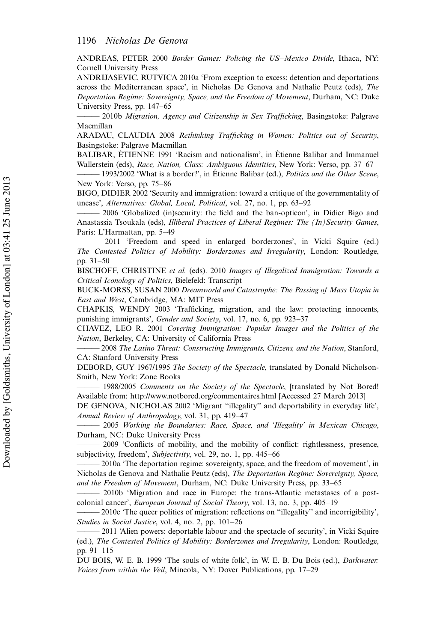#### 1196 Nicholas De Genova

ANDREAS, PETER 2000 Border Games: Policing the US-Mexico Divide, Ithaca, NY: Cornell University Press

ANDRIJASEVIC, RUTVICA 2010a 'From exception to excess: detention and deportations across the Mediterranean space', in Nicholas De Genova and Nathalie Peutz (eds), The Deportation Regime: Sovereignty, Space, and the Freedom of Movement, Durham, NC: Duke University Press, pp. 147-65

2010b Migration, Agency and Citizenship in Sex Trafficking, Basingstoke: Palgrave Macmillan

ARADAU, CLAUDIA 2008 Rethinking Trafficking in Women: Politics out of Security, Basingstoke: Palgrave Macmillan

BALIBAR, ÉTIENNE 1991 'Racism and nationalism', in Étienne Balibar and Immanuel Wallerstein (eds), Race, Nation, Class: Ambiguous Identities, New York: Verso, pp. 37–67

- 1993/2002 'What is a border?', in Étienne Balibar (ed.), Politics and the Other Scene, New York: Verso, pp. 75-86

BIGO, DIDIER 2002 'Security and immigration: toward a critique of the governmentality of unease', Alternatives: Global, Local, Political, vol. 27, no. 1, pp. 63-92

2006 'Globalized (in)security: the field and the ban-opticon', in Didier Bigo and Anastassia Tsoukala (eds), Illiberal Practices of Liberal Regimes: The (In)Security Games, Paris: L'Harmattan, pp. 5-49

2011 'Freedom and speed in enlarged borderzones', in Vicki Squire (ed.) The Contested Politics of Mobility: Borderzones and Irregularity, London: Routledge, pp. 31-50

BISCHOFF, CHRISTINE et al. (eds). 2010 Images of Illegalized Immigration: Towards a Critical Iconology of Politics, Bielefeld: Transcript

BUCK-MORSS, SUSAN 2000 Dreamworld and Catastrophe: The Passing of Mass Utopia in East and West, Cambridge, MA: MIT Press

CHAPKIS, WENDY 2003 'Trafficking, migration, and the law: protecting innocents, punishing immigrants', Gender and Society, vol. 17, no. 6, pp. 923–37

CHAVEZ, LEO R. 2001 Covering Immigration: Popular Images and the Politics of the Nation, Berkeley, CA: University of California Press

2008 The Latino Threat: Constructing Immigrants, Citizens, and the Nation, Stanford, CA: Stanford University Press

DEBORD, GUY 1967/1995 The Society of the Spectacle, translated by Donald Nicholson-Smith, New York: Zone Books

<sup>-</sup> 1988/2005 Comments on the Society of the Spectacle, [translated by Not Bored! Available from:<http://www.notbored.org/commentaires.html> [Accessed 27 March 2013]

DE GENOVA, NICHOLAS 2002 'Migrant ''illegality'' and deportability in everyday life', Annual Review of Anthropology, vol. 31, pp. 419-47

- 2005 Working the Boundaries: Race, Space, and 'Illegality' in Mexican Chicago, Durham, NC: Duke University Press

2009 'Conflicts of mobility, and the mobility of conflict: rightlessness, presence, subjectivity, freedom', Subjectivity, vol. 29, no. 1, pp. 445-66

 $-2010a$  'The deportation regime: sovereignty, space, and the freedom of movement', in Nicholas de Genova and Nathalie Peutz (eds), The Deportation Regime: Sovereignty, Space, and the Freedom of Movement, Durham, NC: Duke University Press, pp. 33-65

2010b 'Migration and race in Europe: the trans-Atlantic metastases of a postcolonial cancer', *European Journal of Social Theory*, vol. 13, no. 3, pp.  $405-19$ 

- 2010c 'The queer politics of migration: reflections on "illegality" and incorrigibility', Studies in Social Justice, vol. 4, no. 2, pp.  $101-26$ 

- 2011 'Alien powers: deportable labour and the spectacle of security', in Vicki Squire (ed.), The Contested Politics of Mobility: Borderzones and Irregularity, London: Routledge, pp.  $91 - 115$ 

DU BOIS, W. E. B. 1999 'The souls of white folk', in W. E. B. Du Bois (ed.), Darkwater: Voices from within the Veil, Mineola, NY: Dover Publications, pp. 17-29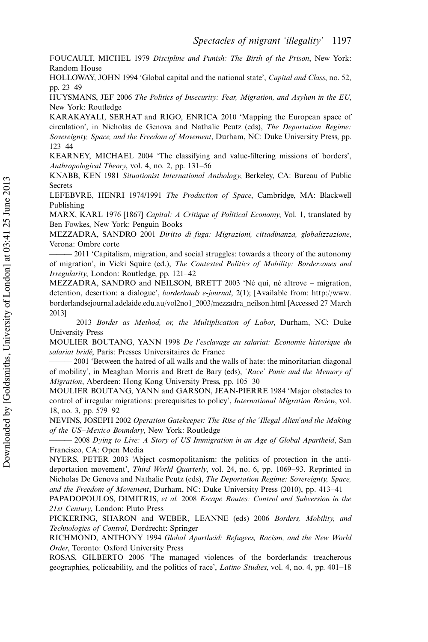FOUCAULT, MICHEL 1979 Discipline and Punish: The Birth of the Prison, New York: Random House

HOLLOWAY, JOHN 1994 'Global capital and the national state', Capital and Class, no. 52, pp. 23-49

HUYSMANS, JEF 2006 The Politics of Insecurity: Fear, Migration, and Asylum in the EU, New York: Routledge

KARAKAYALI, SERHAT and RIGO, ENRICA 2010 'Mapping the European space of circulation', in Nicholas de Genova and Nathalie Peutz (eds), The Deportation Regime: Sovereignty, Space, and the Freedom of Movement, Durham, NC: Duke University Press, pp.  $123 - 44$ 

KEARNEY, MICHAEL 2004 'The classifying and value-filtering missions of borders', Anthropological Theory, vol. 4, no. 2, pp. 131-56

KNABB, KEN 1981 Situationist International Anthology, Berkeley, CA: Bureau of Public Secrets

LEFEBVRE, HENRI 1974/1991 The Production of Space, Cambridge, MA: Blackwell Publishing

MARX, KARL 1976 [1867] Capital: A Critique of Political Economy, Vol. 1, translated by Ben Fowkes, New York: Penguin Books

MEZZADRA, SANDRO 2001 Diritto di fuga: Migrazioni, cittadinanza, globalizzazione, Verona: Ombre corte

- 2011 'Capitalism, migration, and social struggles: towards a theory of the autonomy of migration', in Vicki Squire (ed.), The Contested Politics of Mobility: Borderzones and Irregularity, London: Routledge, pp. 121-42

MEZZADRA, SANDRO and NEILSON, BRETT 2003 'Né qui, né altrove - migration, detention, desertion: a dialogue', borderlands e-journal, 2(1); [Available from: [http://www.](http://www.borderlandsejournal.adelaide.edu.au/vol2no1_2003/mezzadra_neilson.html) [borderlandsejournal.adelaide.edu.au/vol2no1\\_2003/mezzadra\\_neilson.html](http://www.borderlandsejournal.adelaide.edu.au/vol2no1_2003/mezzadra_neilson.html) [Accessed 27 March 2013]

- 2013 Border as Method, or, the Multiplication of Labor, Durham, NC: Duke University Press

MOULIER BOUTANG, YANN 1998 De l'esclavage au salariat: Economie historique du salariat bridé, Paris: Presses Universitaires de France

<sup>2</sup> 2001 'Between the hatred of all walls and the walls of hate: the minoritarian diagonal of mobility', in Meaghan Morris and Brett de Bary (eds), 'Race' Panic and the Memory of Migration, Aberdeen: Hong Kong University Press, pp. 105-30

MOULIER BOUTANG, YANN and GARSON, JEAN-PIERRE 1984 'Major obstacles to control of irregular migrations: prerequisites to policy', International Migration Review, vol. 18, no. 3, pp. 579-92

NEVINS, JOSEPH 2002 Operation Gatekeeper: The Rise of the 'Illegal Alien'and the Making of the US-Mexico Boundary, New York: Routledge

- 2008 Dying to Live: A Story of US Immigration in an Age of Global Apartheid, San Francisco, CA: Open Media

NYERS, PETER 2003 'Abject cosmopolitanism: the politics of protection in the antideportation movement', Third World Quarterly, vol. 24, no. 6, pp. 1069–93. Reprinted in Nicholas De Genova and Nathalie Peutz (eds), The Deportation Regime: Sovereignty, Space, and the Freedom of Movement, Durham, NC: Duke University Press (2010), pp. 413-41

PAPADOPOULOS, DIMITRIS, et al. 2008 Escape Routes: Control and Subversion in the 21st Century, London: Pluto Press

PICKERING, SHARON and WEBER, LEANNE (eds) 2006 Borders, Mobility, and Technologies of Control, Dordrecht: Springer

RICHMOND, ANTHONY 1994 Global Apartheid: Refugees, Racism, and the New World Order, Toronto: Oxford University Press

ROSAS, GILBERTO 2006 'The managed violences of the borderlands: treacherous geographies, policeability, and the politics of race', Latino Studies, vol. 4, no. 4, pp. 401-18